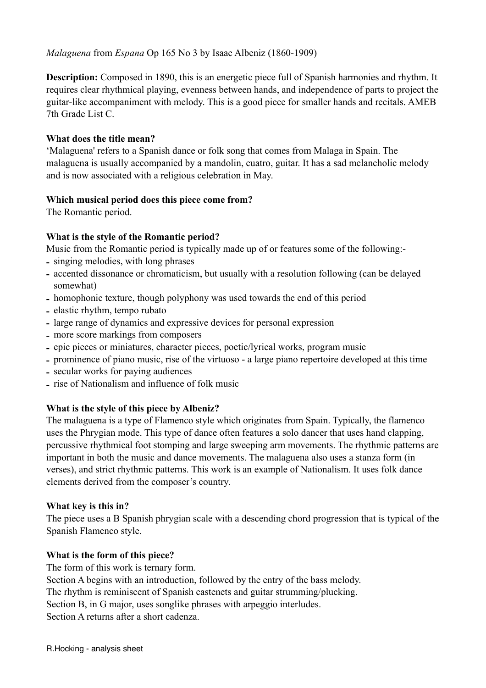**Description:** Composed in 1890, this is an energetic piece full of Spanish harmonies and rhythm. It requires clear rhythmical playing, evenness between hands, and independence of parts to project the guitar-like accompaniment with melody. This is a good piece for smaller hands and recitals. AMEB 7th Grade List C.

### **What does the title mean?**

'Malaguena' refers to a Spanish dance or folk song that comes from Malaga in Spain. The malaguena is usually accompanied by a mandolin, cuatro, guitar. It has a sad melancholic melody and is now associated with a religious celebration in May.

#### **Which musical period does this piece come from?**

The Romantic period.

#### **What is the style of the Romantic period?**

Music from the Romantic period is typically made up of or features some of the following:-

- **-** singing melodies, with long phrases
- **-** accented dissonance or chromaticism, but usually with a resolution following (can be delayed somewhat)
- **-** homophonic texture, though polyphony was used towards the end of this period
- **-** elastic rhythm, tempo rubato
- **-** large range of dynamics and expressive devices for personal expression
- **-** more score markings from composers
- **-** epic pieces or miniatures, character pieces, poetic/lyrical works, program music
- **-** prominence of piano music, rise of the virtuoso a large piano repertoire developed at this time
- **-** secular works for paying audiences
- **-** rise of Nationalism and influence of folk music

# **What is the style of this piece by Albeniz?**

The malaguena is a type of Flamenco style which originates from Spain. Typically, the flamenco uses the Phrygian mode. This type of dance often features a solo dancer that uses hand clapping, percussive rhythmical foot stomping and large sweeping arm movements. The rhythmic patterns are important in both the music and dance movements. The malaguena also uses a stanza form (in verses), and strict rhythmic patterns. This work is an example of Nationalism. It uses folk dance elements derived from the composer's country.

#### **What key is this in?**

The piece uses a B Spanish phrygian scale with a descending chord progression that is typical of the Spanish Flamenco style.

# **What is the form of this piece?**

The form of this work is ternary form. Section A begins with an introduction, followed by the entry of the bass melody. The rhythm is reminiscent of Spanish castenets and guitar strumming/plucking. Section B, in G major, uses songlike phrases with arpeggio interludes. Section A returns after a short cadenza.